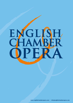## AGLIS H E  $\begin{bmatrix} \phantom{-} \end{bmatrix}$  $\vec{\bm{\Lambda}}$ **A**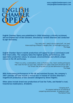

**English Chamber Opera was established in 2006 following a critically acclaimed, sell-out English tour of Don Giovanni, directed by Caroline Sharman and conducted by Igor Kennaway.**

> *"You really don't need to be an opera buff, nor even know anything of Mozart's naughty Don, to thoroughly enjoy this."* The Stage

**English Chamber Opera's stylish productions will appeal to opera connoisseurs and first-timers alike. The company takes the highest quality performances, with superlative production values, to unusual, unconventional, and utterly unique venues in the UK and Europe.** 

> *"There is a unity, a camaraderie…that is infectious…fine, heart-rending soliloquies that raise the hairs on your neck. And there are many times with the entire cast in full throat that bring tears of joy and admiration to the eyes."* The Stage

**With forthcoming performances in the UK and mainland Europe, the company's 2007 calendar will also include a revival tour in Ireland of Caroline Sharman's magnificent production of Don Giovanni (designed by Simon Higlett).** 

**Other plans include brand new productions of Cosi fan Tutte, and Handel's cruel, treacherous masterpiece, Ariodante.**

> *"Gripping stuff… for anyone looking for an evening of compelling entertainment, an absolute treat."* The Oxford Times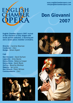# ENGLISH

## **Don Giovanni 2007**

**English Chamber Opera's 2007 revival of Don Giovanni is fully staged with lavish period costumes, a stunning set and a seven-piece chamber orchestra.**

**Director -** Caroline Sharman **Conductor -** *(tbc)* **Design -** Simon Higlett

#### **Cast**

**Don Giovanni -** David Durham **Leporello -** Giles Davies **Donna Elvira -** Rebecca Cooper **Donna Anna -** Sarah Moule **Zerlina -** Beverley Worboys **Masetto -** Ian Jervis **Don Ottavio -** Peter Wilman **Commendatore** - *(tbc)*





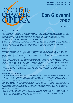# ENGLISH

## **Don Giovanni 2007**

**Biographies**

#### **David Durham – Don Giovanni**

David studied at the Guildhall school of Music and Drama as a violinist. Opera roles include Scarpia, *Tosca* at St John's Smith Square and Don Giovanni for the Chipping Norton Theatre and tour. Leading roles have been composed for him for several contemporary opera festivals at Battersea Arts Centre, London, Opera Circus at Sadlers Wells and the Opera House, Amsterdam. He is currently appearing at KammerOper Vienna as lead in the world premiere of *A Good Man*. Forthcoming roles include Germont and Escamillo for Pavillion Opera.

As an actor, he has performed in Shakespeare's *As You Like It*, directed by David Poutney, as well as new productions at Nottingham Playhouse and the Sherman Theatre, Cardiff. His West End appearances include Caiaphas in the national tour for *Jesus Christ Superstar*, Mufasa in *The Lion King* at the Lyceum and Ben Stone (*Follies*) at the Royal Festival Hall. Principal roles for cinema include 'Scarred', Elysium Films and Babymother, Fourmation Films.

#### **Giles Davies - Leporello**

Giles studied at the Purcell School of Music, and on a scholarship at the Royal College of Music, winning prizes in the Royal Overseas League, Tillett Trust, and Association of English Speakers and Singers competitions. He has recorded for the BBC (Schumann's *Dichterliebe* at the Wigmore Hall), and as a soloist has appeared with conductors including Richard Hickox (*A Sea Symphony* and *Dido and Aeneas*), Trevor Pinnock (Handel's *Apollo and Dafne*); Mahler's *Kindertotenlieder* (Ballet Rambert) and London Mozart Players.

His many roles in opera include Puck in Britten's *A Midsummer Night's Dream* at the ROH, Figaro in Rossini's *Barber of Seville* (Scottish Opera, English Pocket Opera) Dr Kolenaty in Janàcek's *Makropoulos Case* (SO), Schaunard in *La Boheme* (SO), the *Church Parables* of Britten (Opera du Rhin, Strasbourg), Pish Tush in *The Mikado* and Strephon in *Iolanthe* (Carl Rosa Opera). He created the title role in *The Piano Tuner* (Osborne/Holden), for Music Theatre Wales.

In 2006, Giles appeared as John Goss in Anthony Britten's new film on the life of the English songwriter Peter Warlock, screening on Sky and DVD. He also made his Italian debut in Montepulciano, in a broadcast production of *Das Wundertheater* by Henze, and Kurt Weill's *Mahagonny Songspiel*, directed by Alfred Kirchner and conducted by Jan Latham Koening.

#### **Rebecca Cooper - Donna Elvira**

Rebecca was an undergraduate at the Royal College of Music, and then a postgraduate on the Opera Course at the Royal Academy of Music, receiving various awards from the RAM and the Countess of Munster Musical Trust. She currently studies with Jonathan Papp, Diane Forlano & Paolo Speca, and has recently participated in The Solti Accademia di Bel Canto where she was coached by Mirella Freni, and sang at the Palazzo Vecchio, Florence.

Operatic roles include Nerone (*L'Incoronazione di Poppea*) and Fox (*The Cunning Little Vixen*) under Sir Charles Mackerras for Royal Academy Opera, Fox for Opera East Productions, Constanze (*The Abduction from the Seraglio)* for Surrey Opera and Violetta (*La Traviata*) for Vox Lirika, Donna Elvira *(Don Giovanni)*, for The Theatre Chipping Norton, Madame Herz (*The Impresario*) at the Taunton Festival, and the title role in Gluck's *Armide* (cover) for Buxton Festival Opera. Future plans include Violetta in Italy.

Concert performances have included Haydn's *Nelson Mass* under Sir David Willcocks, Mozart's *Requiem* at Southwark and Bristol Cathedrals and St Martin-in-the-Fields, Beethoven's *Ninth Symphony* at the Anvil, Dvorak's *Stabat Mater* and Mendelssohn's *Elijah*. She has given recitals at Leighton House, St James' Palace, The Goethe Institut, Southwark Cathedral and in the Winchester and Buxton Festivals.